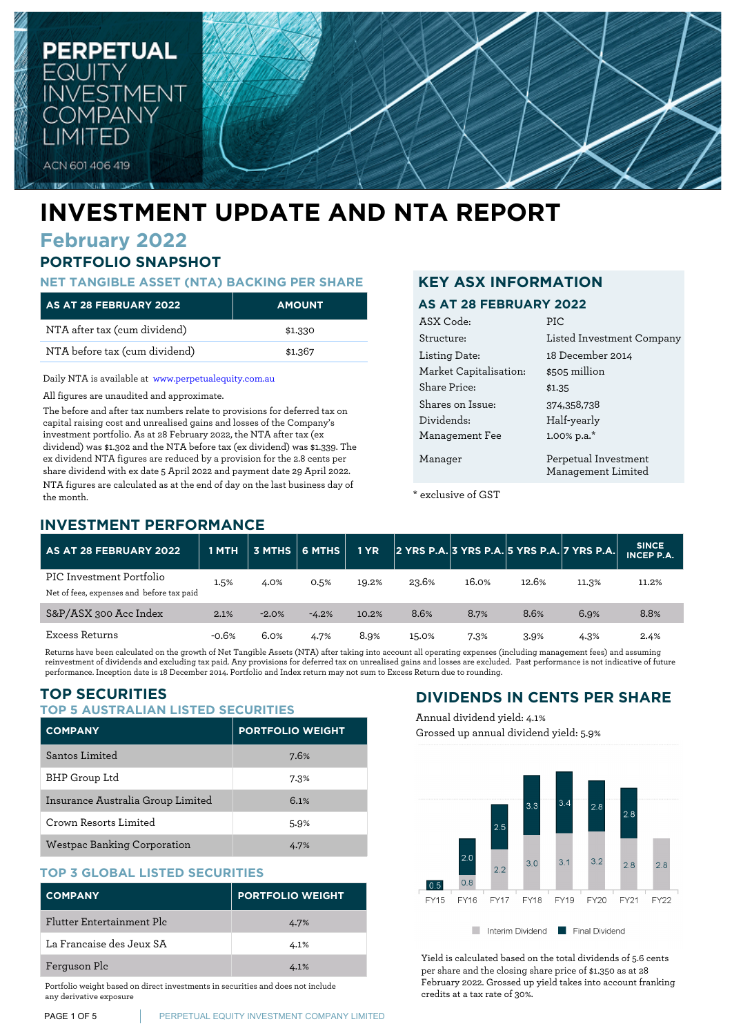

# **INVESTMENT UPDATE AND NTA REPORT**

# **February 2022**

# **PORTFOLIO SNAPSHOT**

### **NET TANGIBLE ASSET (NTA) BACKING PER SHARE**

| AS AT 28 FEBRUARY 2022        | <b>AMOUNT</b> |
|-------------------------------|---------------|
| NTA after tax (cum dividend)  | \$1,330       |
| NTA before tax (cum dividend) | \$1.367       |

Daily NTA is available at [www.perpetualequity.com.au](https://www.perpetualequity.com.au)

All figures are unaudited and approximate.

The before and after tax numbers relate to provisions for deferred tax on capital raising cost and unrealised gains and losses of the Company's investment portfolio. As at 28 February 2022, the NTA after tax (ex dividend) was \$1.302 and the NTA before tax (ex dividend) was \$1.339. The ex dividend NTA figures are reduced by a provision for the 2.8 cents per share dividend with ex date 5 April 2022 and payment date 29 April 2022. NTA figures are calculated as at the end of day on the last business day of the month.

## **INVESTMENT PERFORMANCE**

## **KEY ASX INFORMATION**

#### **AS AT 28 FEBRUARY 2022**

| ASX Code:              | PIC                                        |
|------------------------|--------------------------------------------|
| Structure:             | Listed Investment Company                  |
| Listing Date:          | 18 December 2014                           |
| Market Capitalisation: | \$505 million                              |
| Share Price:           | \$1.35                                     |
| Shares on Issue:       | 374,358,738                                |
| Dividends:             | Half-yearly                                |
| Management Fee         | 1.00% p.a.*                                |
| Manager                | Perpetual Investment<br>Management Limited |

\* exclusive of GST

| <b>AS AT 28 FEBRUARY 2022</b>                                         | 1 MTH   |         |         | <b>1 YR</b> | 2 YRS P.A. 3 YRS P.A. 5 YRS P.A. 7 YRS P.A. |       |       |       | <b>SINCE</b><br><b>INCEP P.A.</b> |
|-----------------------------------------------------------------------|---------|---------|---------|-------------|---------------------------------------------|-------|-------|-------|-----------------------------------|
| PIC Investment Portfolio<br>Net of fees, expenses and before tax paid | 1.5%    | 4.0%    | 0.5%    | 19.2%       | 23.6%                                       | 16.0% | 12.6% | 11.3% | 11.2%                             |
| S&P/ASX 300 Acc Index                                                 | 2.1%    | $-2.0%$ | $-4.2%$ | 10.2%       | 8.6%                                        | 8.7%  | 8.6%  | 6.9%  | 8.8%                              |
| Excess Returns                                                        | $-0.6%$ | 6.0%    | 4.7%    | 8.9%        | 15.0%                                       | 7.3%  | 3.9%  | 4.3%  | 2.4%                              |

Returns have been calculated on the growth of Net Tangible Assets (NTA) after taking into account all operating expenses (including management fees) and assuming reinvestment of dividends and excluding tax paid. Any provisions for deferred tax on unrealised gains and losses are excluded. Past performance is not indicative of future performance. Inception date is 18 December 2014. Portfolio and Index return may not sum to Excess Return due to rounding.

# **TOP SECURITIES**

#### **TOP 5 AUSTRALIAN LISTED SECURITIES**

| <b>COMPANY</b>                    | <b>PORTFOLIO WEIGHT</b> |
|-----------------------------------|-------------------------|
| Santos Limited                    | 7.6%                    |
| BHP Group Ltd                     | 7.3%                    |
| Insurance Australia Group Limited | 6.1%                    |
| Crown Resorts Limited             | 5.9%                    |
| Westpac Banking Corporation       | 4.7%                    |

#### **TOP 3 GLOBAL LISTED SECURITIES**

| <b>COMPANY</b>            | <b>PORTFOLIO WEIGHT</b> |
|---------------------------|-------------------------|
| Flutter Entertainment Plc | 4.7%                    |
| La Francaise des Jeux SA  | 4.1%                    |
| Ferguson Plc              | 4.1%                    |

Portfolio weight based on direct investments in securities and does not include any derivative exposure

**PAGE 1 OF 5** PERPETUAL EQUITY INVESTMENT COMPANY LIMITED

# **DIVIDENDS IN CENTS PER SHARE**

Annual dividend yield: 4.1% Grossed up annual dividend yield: 5.9%



Yield is calculated based on the total dividends of 5.6 cents per share and the closing share price of \$1.350 as at 28 February 2022. Grossed up yield takes into account franking credits at a tax rate of 30%.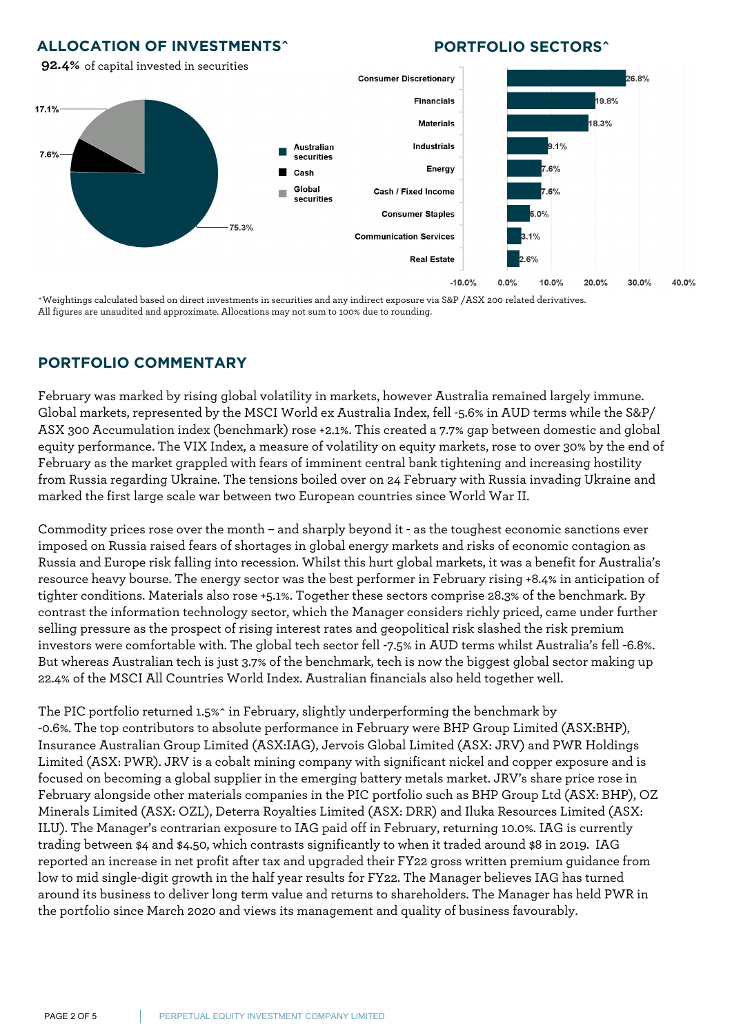## **ALLOCATION OF INVESTMENTS^**

any derivative exposure

## **PORTFOLIO SECTORS^**



^Weightings calculated based on direct investments in securities and any indirect exposure via S&P /ASX 200 related derivatives. All figures are unaudited and approximate. Allocations may not sum to 100% due to rounding.

## **PORTFOLIO COMMENTARY**

February was marked by rising global volatility in markets, however Australia remained largely immune. Global markets, represented by the MSCI World ex Australia Index, fell -5.6% in AUD terms while the S&P/ ASX 300 Accumulation index (benchmark) rose +2.1%. This created a 7.7% gap between domestic and global equity performance. The VIX Index, a measure of volatility on equity markets, rose to over 30% by the end of February as the market grappled with fears of imminent central bank tightening and increasing hostility from Russia regarding Ukraine. The tensions boiled over on 24 February with Russia invading Ukraine and marked the first large scale war between two European countries since World War II.

Commodity prices rose over the month – and sharply beyond it - as the toughest economic sanctions ever imposed on Russia raised fears of shortages in global energy markets and risks of economic contagion as Russia and Europe risk falling into recession. Whilst this hurt global markets, it was a benefit for Australia's resource heavy bourse. The energy sector was the best performer in February rising +8.4% in anticipation of tighter conditions. Materials also rose +5.1%. Together these sectors comprise 28.3% of the benchmark. By contrast the information technology sector, which the Manager considers richly priced, came under further selling pressure as the prospect of rising interest rates and geopolitical risk slashed the risk premium investors were comfortable with. The global tech sector fell -7.5% in AUD terms whilst Australia's fell -6.8%. But whereas Australian tech is just 3.7% of the benchmark, tech is now the biggest global sector making up 22.4% of the MSCI All Countries World Index. Australian financials also held together well.

The PIC portfolio returned 1.5%^ in February, slightly underperforming the benchmark by -0.6%. The top contributors to absolute performance in February were BHP Group Limited (ASX:BHP), Insurance Australian Group Limited (ASX:IAG), Jervois Global Limited (ASX: JRV) and PWR Holdings Limited (ASX: PWR). JRV is a cobalt mining company with significant nickel and copper exposure and is focused on becoming a global supplier in the emerging battery metals market. JRV's share price rose in February alongside other materials companies in the PIC portfolio such as BHP Group Ltd (ASX: BHP), OZ Minerals Limited (ASX: OZL), Deterra Royalties Limited (ASX: DRR) and Iluka Resources Limited (ASX: ILU). The Manager's contrarian exposure to IAG paid off in February, returning 10.0%. IAG is currently trading between \$4 and \$4.50, which contrasts significantly to when it traded around \$8 in 2019. IAG reported an increase in net profit after tax and upgraded their FY22 gross written premium guidance from low to mid single-digit growth in the half year results for FY22. The Manager believes IAG has turned around its business to deliver long term value and returns to shareholders. The Manager has held PWR in the portfolio since March 2020 and views its management and quality of business favourably.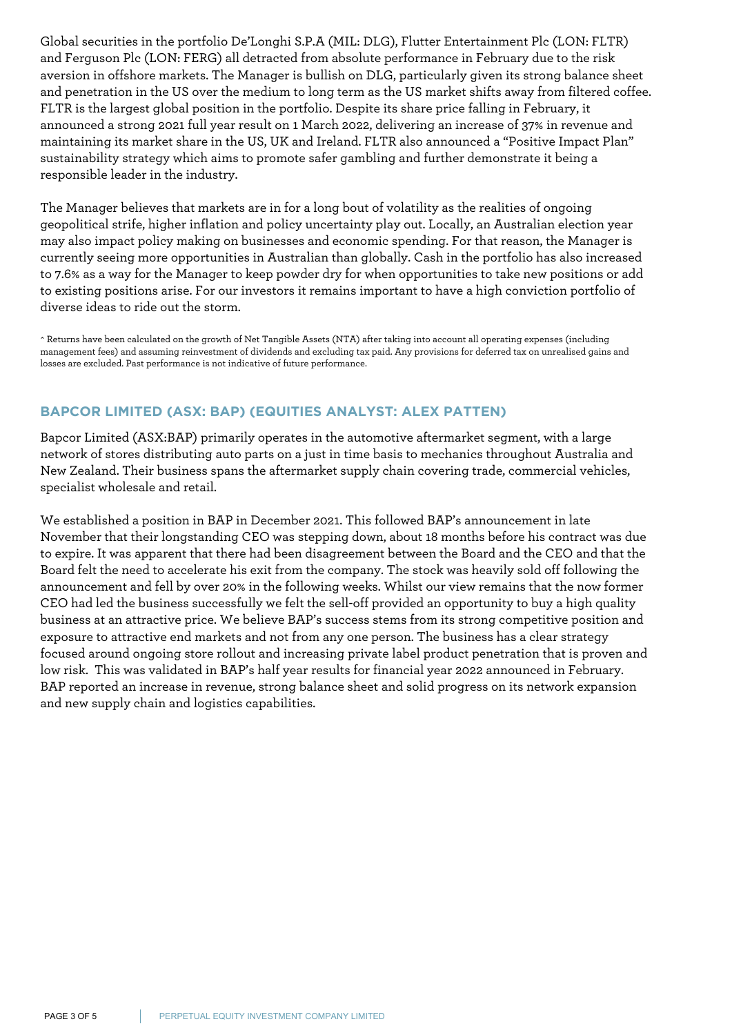Global securities in the portfolio De'Longhi S.P.A (MIL: DLG), Flutter Entertainment Plc (LON: FLTR) and Ferguson Plc (LON: FERG) all detracted from absolute performance in February due to the risk aversion in offshore markets. The Manager is bullish on DLG, particularly given its strong balance sheet and penetration in the US over the medium to long term as the US market shifts away from filtered coffee. FLTR is the largest global position in the portfolio. Despite its share price falling in February, it announced a strong 2021 full year result on 1 March 2022, delivering an increase of 37% in revenue and maintaining its market share in the US, UK and Ireland. FLTR also announced a "Positive Impact Plan" sustainability strategy which aims to promote safer gambling and further demonstrate it being a responsible leader in the industry.

The Manager believes that markets are in for a long bout of volatility as the realities of ongoing geopolitical strife, higher inflation and policy uncertainty play out. Locally, an Australian election year may also impact policy making on businesses and economic spending. For that reason, the Manager is currently seeing more opportunities in Australian than globally. Cash in the portfolio has also increased to 7.6% as a way for the Manager to keep powder dry for when opportunities to take new positions or add to existing positions arise. For our investors it remains important to have a high conviction portfolio of diverse ideas to ride out the storm.

^ Returns have been calculated on the growth of Net Tangible Assets (NTA) after taking into account all operating expenses (including management fees) and assuming reinvestment of dividends and excluding tax paid. Any provisions for deferred tax on unrealised gains and losses are excluded. Past performance is not indicative of future performance.

## **BAPCOR LIMITED (ASX: BAP) (EQUITIES ANALYST: ALEX PATTEN)**

Bapcor Limited (ASX:BAP) primarily operates in the automotive aftermarket segment, with a large network of stores distributing auto parts on a just in time basis to mechanics throughout Australia and New Zealand. Their business spans the aftermarket supply chain covering trade, commercial vehicles, specialist wholesale and retail.

We established a position in BAP in December 2021. This followed BAP's announcement in late November that their longstanding CEO was stepping down, about 18 months before his contract was due to expire. It was apparent that there had been disagreement between the Board and the CEO and that the Board felt the need to accelerate his exit from the company. The stock was heavily sold off following the announcement and fell by over 20% in the following weeks. Whilst our view remains that the now former CEO had led the business successfully we felt the sell-off provided an opportunity to buy a high quality business at an attractive price. We believe BAP's success stems from its strong competitive position and exposure to attractive end markets and not from any one person. The business has a clear strategy focused around ongoing store rollout and increasing private label product penetration that is proven and low risk. This was validated in BAP's half year results for financial year 2022 announced in February. BAP reported an increase in revenue, strong balance sheet and solid progress on its network expansion and new supply chain and logistics capabilities.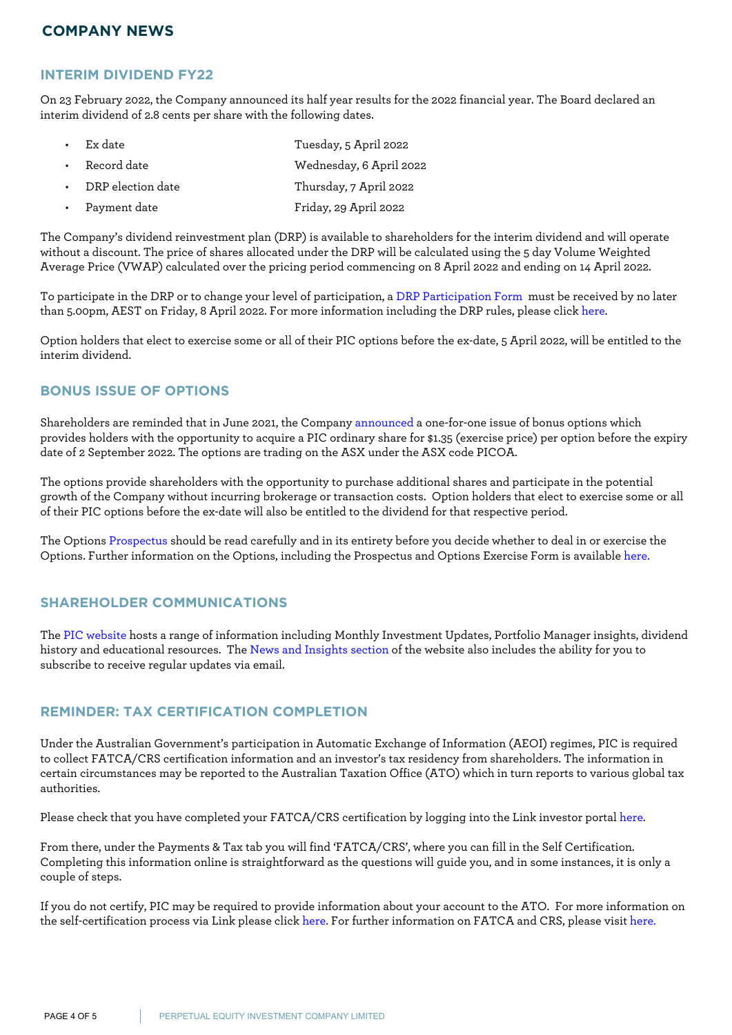## **COMPANY NEWS**

#### **INTERIM DIVIDEND FY22**

On 23 February 2022, the Company announced its half year results for the 2022 financial year. The Board declared an interim dividend of 2.8 cents per share with the following dates.

|  | $\cdot$ Ex date           | Tuesday, 5 April 2022   |
|--|---------------------------|-------------------------|
|  | • Record date             | Wednesday, 6 April 2022 |
|  | $\cdot$ DRP election date | Thursday, 7 April 2022  |
|  | Payment date              | Friday, 29 April 2022   |

The Company's dividend reinvestment plan (DRP) is available to shareholders for the interim dividend and will operate without a discount. The price of shares allocated under the DRP will be calculated using the 5 day Volume Weighted Average Price (VWAP) calculated over the pricing period commencing on 8 April 2022 and ending on 14 April 2022.

To participate in the DRP or to change your level of participation, a [DRP Participation Form](https://www.perpetualequity.com.au/~/media/perpetualpeic/pdf/pic_dividend_reinvestment_form_drp005_interactive_160707.ashx?la=en) must be received by no later than 5.00pm, AEST on Friday, 8 April 2022. For more information including the DRP rules, please click [here](https://www.perpetualequity.com.au/shareholders/dividend-reinvestment-plan).

Option holders that elect to exercise some or all of their PIC options before the ex-date, 5 April 2022, will be entitled to the interim dividend.

#### **BONUS ISSUE OF OPTIONS**

Shareholders are reminded that in June 2021, the Company [announced](https://www.perpetualequity.com.au/shareholders/pic-options) a one-for-one issue of bonus options which provides holders with the opportunity to acquire a PIC ordinary share for \$1.35 (exercise price) per option before the expiry date of 2 September 2022. The options are trading on the ASX under the ASX code PICOA.

The options provide shareholders with the opportunity to purchase additional shares and participate in the potential growth of the Company without incurring brokerage or transaction costs. Option holders that elect to exercise some or all of their PIC options before the ex-date will also be entitled to the dividend for that respective period.

The Options [Prospectus](https://www.perpetualequity.com.au/~/media/perpetualpeic/pdf/peic_prospectus_2021.ashx?la=en) should be read carefully and in its entirety before you decide whether to deal in or exercise the Options. Further information on the Options, including the Prospectus and Options Exercise Form is available [here.](https://www.perpetualequity.com.au/shareholders/pic-options)

## **SHAREHOLDER COMMUNICATIONS**

The [PIC website](https://www.perpetualequity.com.au) hosts a range of information including Monthly Investment Updates, Portfolio Manager insights, dividend history and educational resources. The [News and Insights section](https://www.perpetualequity.com.au/news-and-insights) of the website also includes the ability for you to subscribe to receive regular updates via email.

#### **REMINDER: TAX CERTIFICATION COMPLETION**

Under the Australian Government's participation in Automatic Exchange of Information (AEOI) regimes, PIC is required to collect FATCA/CRS certification information and an investor's tax residency from shareholders. The information in certain circumstances may be reported to the Australian Taxation Office (ATO) which in turn reports to various global tax authorities.

Please check that you have completed your FATCA/CRS certification by logging into the Link investor portal [here.](https://investorcentre.linkmarketservices.com.au/Login/Login)

From there, under the Payments & Tax tab you will find 'FATCA/CRS', where you can fill in the Self Certification. Completing this information online is straightforward as the questions will guide you, and in some instances, it is only a couple of steps.

If you do not certify, PIC may be required to provide information about your account to the ATO. For more information on the self-certification process via Link please click [here.](https://www.linkmarketservices.com.au/corporate/resources/faq.html#fatca) For further information on FATCA and CRS, please visit [here.](http://www.ato.gov.au)